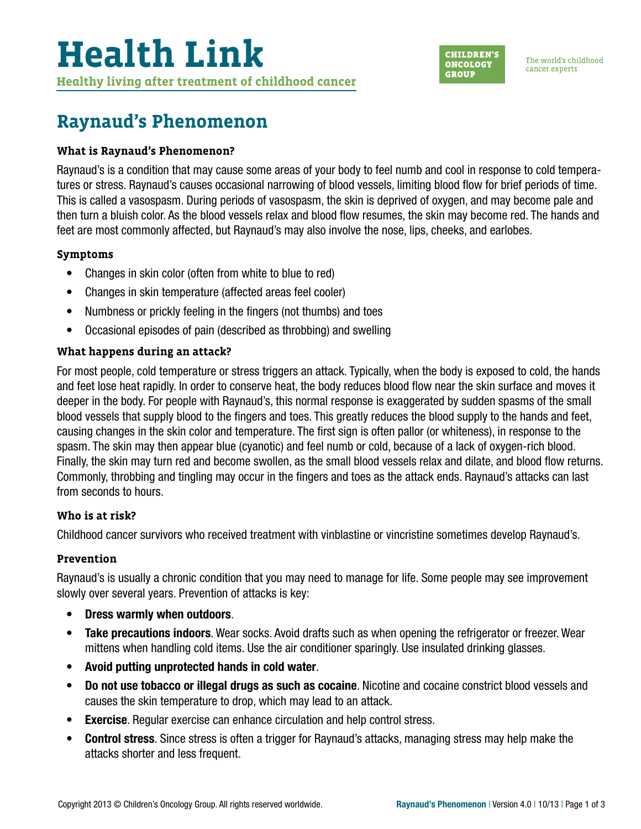

The world's childhood cancer experts

## **Raynaud's Phenomenon**

#### **What is Raynaud's Phenomenon?**

Raynaud's is a condition that may cause some areas of your body to feel numb and cool in response to cold temperatures or stress. Raynaud's causes occasional narrowing of blood vessels, limiting blood flow for brief periods of time. This is called a vasospasm. During periods of vasospasm, the skin is deprived of oxygen, and may become pale and then turn a bluish color. As the blood vessels relax and blood flow resumes, the skin may become red. The hands and feet are most commonly affected, but Raynaud's may also involve the nose, lips, cheeks, and earlobes.

#### **Symptoms**

- Changes in skin color (often from white to blue to red)
- Changes in skin temperature (affected areas feel cooler)
- Numbness or prickly feeling in the fingers (not thumbs) and toes
- Occasional episodes of pain (described as throbbing) and swelling

### **What happens during an attack?**

For most people, cold temperature or stress triggers an attack. Typically, when the body is exposed to cold, the hands and feet lose heat rapidly. In order to conserve heat, the body reduces blood flow near the skin surface and moves it deeper in the body. For people with Raynaud's, this normal response is exaggerated by sudden spasms of the small blood vessels that supply blood to the fingers and toes. This greatly reduces the blood supply to the hands and feet, causing changes in the skin color and temperature. The first sign is often pallor (or whiteness), in response to the spasm. The skin may then appear blue (cyanotic) and feel numb or cold, because of a lack of oxygen-rich blood. Finally, the skin may turn red and become swollen, as the small blood vessels relax and dilate, and blood flow returns. Commonly, throbbing and tingling may occur in the fingers and toes as the attack ends. Raynaud's attacks can last from seconds to hours.

#### **Who is at risk?**

Childhood cancer survivors who received treatment with vinblastine or vincristine sometimes develop Raynaud's.

#### **Prevention**

Raynaud's is usually a chronic condition that you may need to manage for life. Some people may see improvement slowly over several years. Prevention of attacks is key:

- Dress warmly when outdoors.
- Take precautions indoors. Wear socks. Avoid drafts such as when opening the refrigerator or freezer. Wear mittens when handling cold items. Use the air conditioner sparingly. Use insulated drinking glasses.
- Avoid putting unprotected hands in cold water.
- Do not use tobacco or illegal drugs as such as cocaine. Nicotine and cocaine constrict blood vessels and causes the skin temperature to drop, which may lead to an attack.
- Exercise. Regular exercise can enhance circulation and help control stress.
- Control stress. Since stress is often a trigger for Raynaud's attacks, managing stress may help make the attacks shorter and less frequent.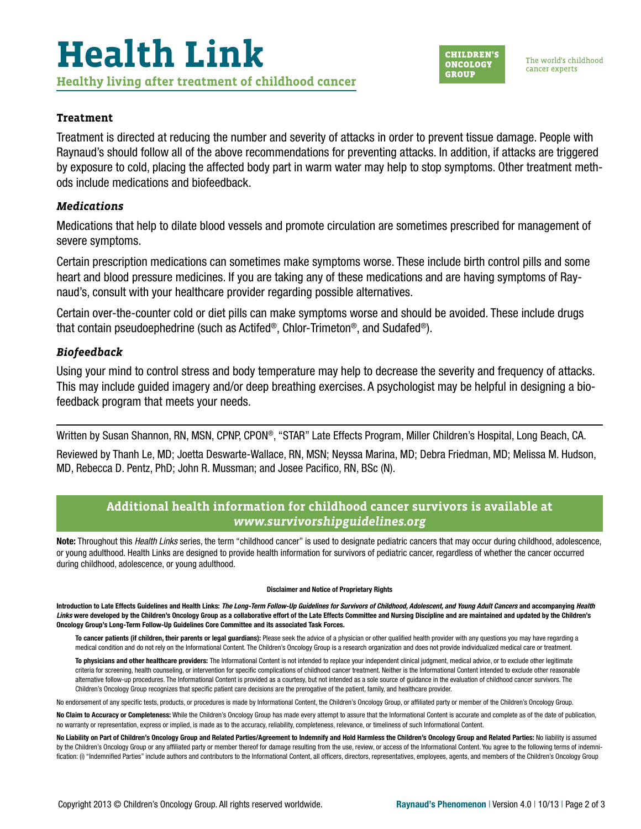#### **Treatment**

Treatment is directed at reducing the number and severity of attacks in order to prevent tissue damage. People with Raynaud's should follow all of the above recommendations for preventing attacks. In addition, if attacks are triggered by exposure to cold, placing the affected body part in warm water may help to stop symptoms. Other treatment methods include medications and biofeedback.

#### *Medications*

Medications that help to dilate blood vessels and promote circulation are sometimes prescribed for management of severe symptoms.

Certain prescription medications can sometimes make symptoms worse. These include birth control pills and some heart and blood pressure medicines. If you are taking any of these medications and are having symptoms of Raynaud's, consult with your healthcare provider regarding possible alternatives.

Certain over-the-counter cold or diet pills can make symptoms worse and should be avoided. These include drugs that contain pseudoephedrine (such as Actifed®, Chlor-Trimeton®, and Sudafed®).

#### *Biofeedback*

Using your mind to control stress and body temperature may help to decrease the severity and frequency of attacks. This may include guided imagery and/or deep breathing exercises. A psychologist may be helpful in designing a biofeedback program that meets your needs.

Written by Susan Shannon, RN, MSN, CPNP, CPON®, "STAR" Late Effects Program, Miller Children's Hospital, Long Beach, CA.

Reviewed by Thanh Le, MD; Joetta Deswarte-Wallace, RN, MSN; Neyssa Marina, MD; Debra Friedman, MD; Melissa M. Hudson, MD, Rebecca D. Pentz, PhD; John R. Mussman; and Josee Pacifico, RN, BSc (N).

### **Additional health information for childhood cancer survivors is available at**  *[www.survivorshipguidelines.org](http://www.survivorshipguidelines.org)*

Note: Throughout this *Health Links* series, the term "childhood cancer" is used to designate pediatric cancers that may occur during childhood, adolescence, or young adulthood. Health Links are designed to provide health information for survivors of pediatric cancer, regardless of whether the cancer occurred during childhood, adolescence, or young adulthood.

#### Disclaimer and Notice of Proprietary Rights

Introduction to Late Effects Guidelines and Health Links: *The Long-Term Follow-Up Guidelines for Survivors of Childhood, Adolescent, and Young Adult Cancers* and accompanying *Health*  Links were developed by the Children's Oncology Group as a collaborative effort of the Late Effects Committee and Nursing Discipline and are maintained and updated by the Children's Oncology Group's Long-Term Follow-Up Guidelines Core Committee and its associated Task Forces.

To cancer patients (if children, their parents or legal guardians): Please seek the advice of a physician or other qualified health provider with any questions you may have regarding a medical condition and do not rely on the Informational Content. The Children's Oncology Group is a research organization and does not provide individualized medical care or treatment.

To physicians and other healthcare providers: The Informational Content is not intended to replace your independent clinical judgment, medical advice, or to exclude other legitimate criteria for screening, health counseling, or intervention for specific complications of childhood cancer treatment. Neither is the Informational Content intended to exclude other reasonable alternative follow-up procedures. The Informational Content is provided as a courtesy, but not intended as a sole source of guidance in the evaluation of childhood cancer survivors. The Children's Oncology Group recognizes that specific patient care decisions are the prerogative of the patient, family, and healthcare provider.

No endorsement of any specific tests, products, or procedures is made by Informational Content, the Children's Oncology Group, or affiliated party or member of the Children's Oncology Group.

No Claim to Accuracy or Completeness: While the Children's Oncology Group has made every attempt to assure that the Informational Content is accurate and complete as of the date of publication, no warranty or representation, express or implied, is made as to the accuracy, reliability, completeness, relevance, or timeliness of such Informational Content.

No Liability on Part of Children's Oncology Group and Related Parties/Agreement to Indemnify and Hold Harmless the Children's Oncology Group and Related Parties: No liability is assumed by the Children's Oncology Group or any affiliated party or member thereof for damage resulting from the use, review, or access of the Informational Content. You agree to the following terms of indemnification: (i) "Indemnified Parties" include authors and contributors to the Informational Content, all officers, directors, representatives, employees, agents, and members of the Children's Oncology Group